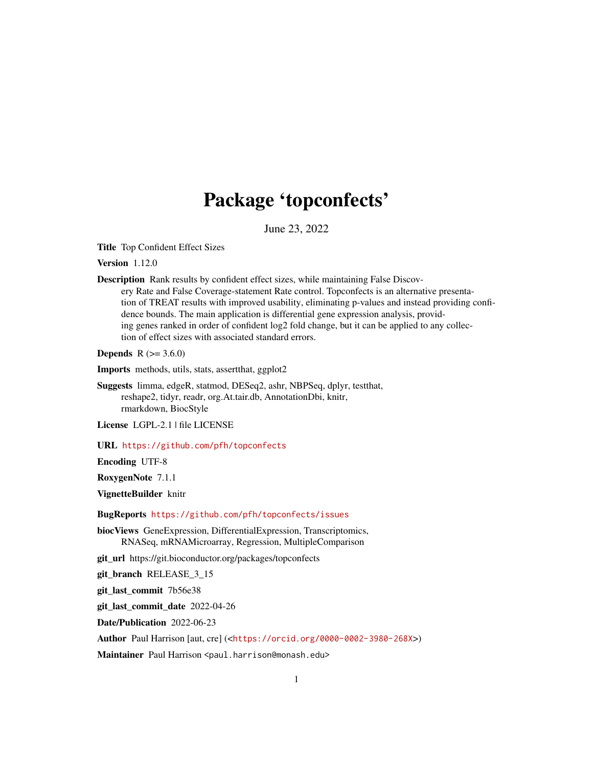# Package 'topconfects'

June 23, 2022

Title Top Confident Effect Sizes

Version 1.12.0

Description Rank results by confident effect sizes, while maintaining False Discovery Rate and False Coverage-statement Rate control. Topconfects is an alternative presentation of TREAT results with improved usability, eliminating p-values and instead providing confidence bounds. The main application is differential gene expression analysis, providing genes ranked in order of confident log2 fold change, but it can be applied to any collection of effect sizes with associated standard errors.

**Depends** R  $(>= 3.6.0)$ 

Imports methods, utils, stats, assertthat, ggplot2

Suggests limma, edgeR, statmod, DESeq2, ashr, NBPSeq, dplyr, testthat, reshape2, tidyr, readr, org.At.tair.db, AnnotationDbi, knitr, rmarkdown, BiocStyle

License LGPL-2.1 | file LICENSE

URL <https://github.com/pfh/topconfects>

Encoding UTF-8

RoxygenNote 7.1.1

VignetteBuilder knitr

BugReports <https://github.com/pfh/topconfects/issues>

biocViews GeneExpression, DifferentialExpression, Transcriptomics, RNASeq, mRNAMicroarray, Regression, MultipleComparison

git\_url https://git.bioconductor.org/packages/topconfects

git\_branch RELEASE\_3\_15

git\_last\_commit 7b56e38

git\_last\_commit\_date 2022-04-26

Date/Publication 2022-06-23

Author Paul Harrison [aut, cre] (<<https://orcid.org/0000-0002-3980-268X>>)

Maintainer Paul Harrison <paul.harrison@monash.edu>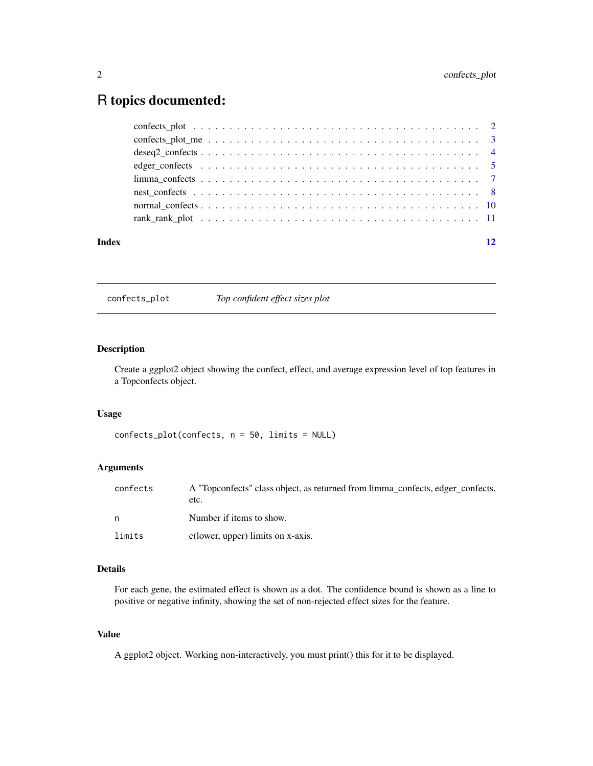# <span id="page-1-0"></span>R topics documented:

| Index |  |
|-------|--|
|       |  |
|       |  |
|       |  |
|       |  |
|       |  |
|       |  |
|       |  |
|       |  |

confects\_plot *Top confident effect sizes plot*

# Description

Create a ggplot2 object showing the confect, effect, and average expression level of top features in a Topconfects object.

# Usage

confects\_plot(confects, n = 50, limits = NULL)

# Arguments

| confects | A "Topconfects" class object, as returned from limma_confects, edger_confects,<br>etc. |
|----------|----------------------------------------------------------------------------------------|
| n        | Number if items to show.                                                               |
| limits   | c(lower, upper) limits on x-axis.                                                      |

# Details

For each gene, the estimated effect is shown as a dot. The confidence bound is shown as a line to positive or negative infinity, showing the set of non-rejected effect sizes for the feature.

# Value

A ggplot2 object. Working non-interactively, you must print() this for it to be displayed.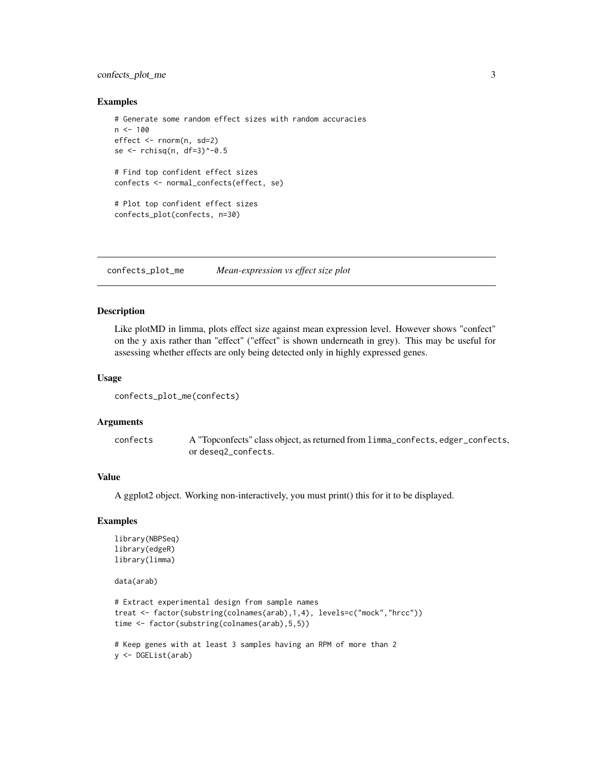# <span id="page-2-0"></span>confects\_plot\_me 3

#### Examples

```
# Generate some random effect sizes with random accuracies
n < -100effect <- rnorm(n, sd=2)
se <- rchisq(n, df=3)^-0.5
# Find top confident effect sizes
confects <- normal_confects(effect, se)
# Plot top confident effect sizes
confects_plot(confects, n=30)
```
confects\_plot\_me *Mean-expression vs effect size plot*

#### Description

Like plotMD in limma, plots effect size against mean expression level. However shows "confect" on the y axis rather than "effect" ("effect" is shown underneath in grey). This may be useful for assessing whether effects are only being detected only in highly expressed genes.

#### Usage

```
confects_plot_me(confects)
```
#### Arguments

confects A "Topconfects" class object, as returned from limma\_confects, edger\_confects, or deseq2\_confects.

# Value

A ggplot2 object. Working non-interactively, you must print() this for it to be displayed.

# Examples

```
library(NBPSeq)
library(edgeR)
library(limma)
```
data(arab)

```
# Extract experimental design from sample names
treat <- factor(substring(colnames(arab),1,4), levels=c("mock","hrcc"))
time <- factor(substring(colnames(arab),5,5))
```

```
# Keep genes with at least 3 samples having an RPM of more than 2
y <- DGEList(arab)
```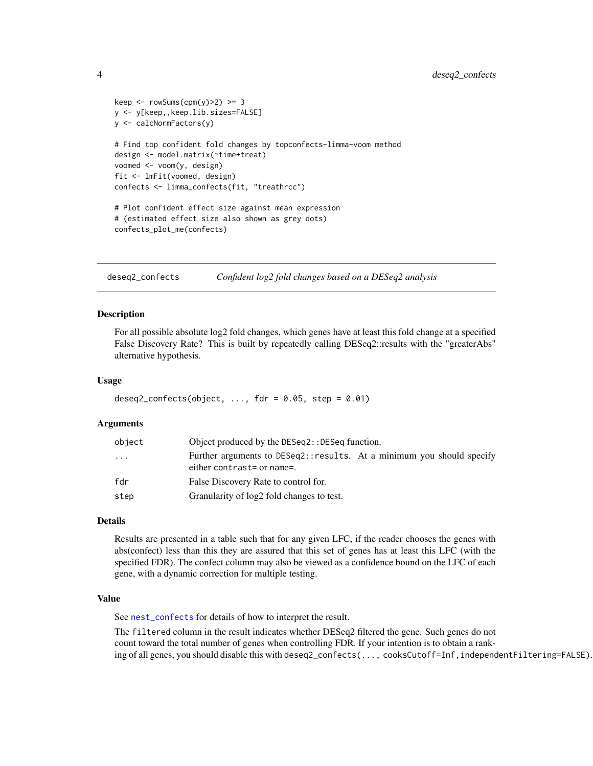```
keep \le rowSums(cpm(y)>2) >= 3
y <- y[keep,,keep.lib.sizes=FALSE]
y <- calcNormFactors(y)
# Find top confident fold changes by topconfects-limma-voom method
design <- model.matrix(~time+treat)
voomed <- voom(y, design)
fit <- lmFit(voomed, design)
confects <- limma_confects(fit, "treathrcc")
# Plot confident effect size against mean expression
# (estimated effect size also shown as grey dots)
confects_plot_me(confects)
```
deseq2\_confects *Confident log2 fold changes based on a DESeq2 analysis*

#### Description

For all possible absolute log2 fold changes, which genes have at least this fold change at a specified False Discovery Rate? This is built by repeatedly calling DESeq2::results with the "greaterAbs" alternative hypothesis.

#### Usage

```
deseq2_{confect}(object, ..., for = 0.05, step = 0.01)
```
#### Arguments

| object   | Object produced by the DESeq2:: DESeq function.                                                     |  |  |
|----------|-----------------------------------------------------------------------------------------------------|--|--|
| $\cdots$ | Further arguments to DESeq2::results. At a minimum you should specify<br>either contrast= or name=. |  |  |
| fdr      | False Discovery Rate to control for.                                                                |  |  |
| step     | Granularity of log2 fold changes to test.                                                           |  |  |

# Details

Results are presented in a table such that for any given LFC, if the reader chooses the genes with abs(confect) less than this they are assured that this set of genes has at least this LFC (with the specified FDR). The confect column may also be viewed as a confidence bound on the LFC of each gene, with a dynamic correction for multiple testing.

#### Value

See [nest\\_confects](#page-7-1) for details of how to interpret the result.

The filtered column in the result indicates whether DESeq2 filtered the gene. Such genes do not count toward the total number of genes when controlling FDR. If your intention is to obtain a ranking of all genes, you should disable this with deseq2\_confects(..., cooksCutoff=Inf,independentFiltering=FALSE).

<span id="page-3-0"></span>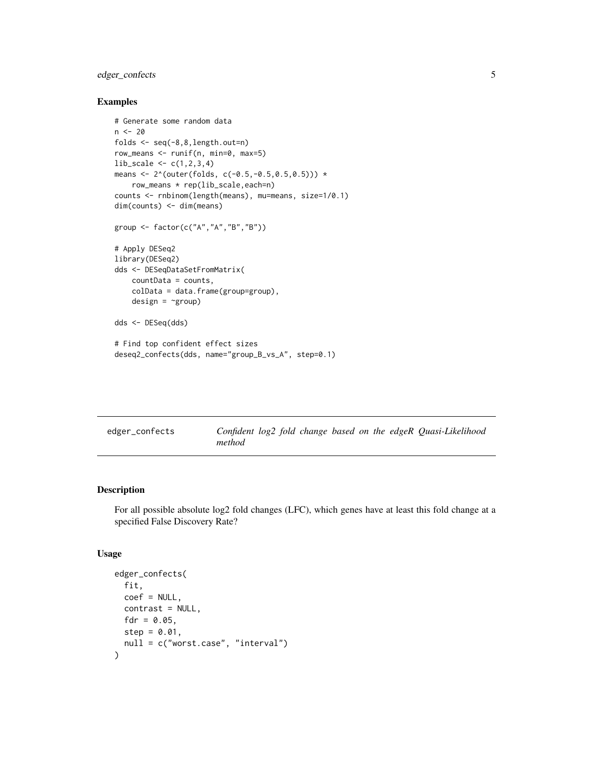# <span id="page-4-0"></span>edger\_confects 5

#### Examples

```
# Generate some random data
n < - 20folds <- seq(-8,8,length.out=n)
row_means <- runif(n, min=0, max=5)
lib_scale <- c(1,2,3,4)
means <- 2^(outer(folds, c(-0.5,-0.5,0.5,0.5))) *
   row_means * rep(lib_scale,each=n)
counts <- rnbinom(length(means), mu=means, size=1/0.1)
dim(counts) <- dim(means)
group <- factor(c("A","A","B","B"))
# Apply DESeq2
library(DESeq2)
dds <- DESeqDataSetFromMatrix(
    countData = counts,
    colData = data.frame(group=group),
   design = \text{``group)}dds <- DESeq(dds)
# Find top confident effect sizes
deseq2_confects(dds, name="group_B_vs_A", step=0.1)
```

| edger_confects | Confident log2 fold change based on the edgeR Quasi-Likelihood |  |  |
|----------------|----------------------------------------------------------------|--|--|
|                | method                                                         |  |  |

# Description

For all possible absolute log2 fold changes (LFC), which genes have at least this fold change at a specified False Discovery Rate?

#### Usage

```
edger_confects(
 fit,
 coef = NULL,
 contrast = NULL,
 fdr = 0.05,
  step = 0.01,null = c("worst.case", "interval")
)
```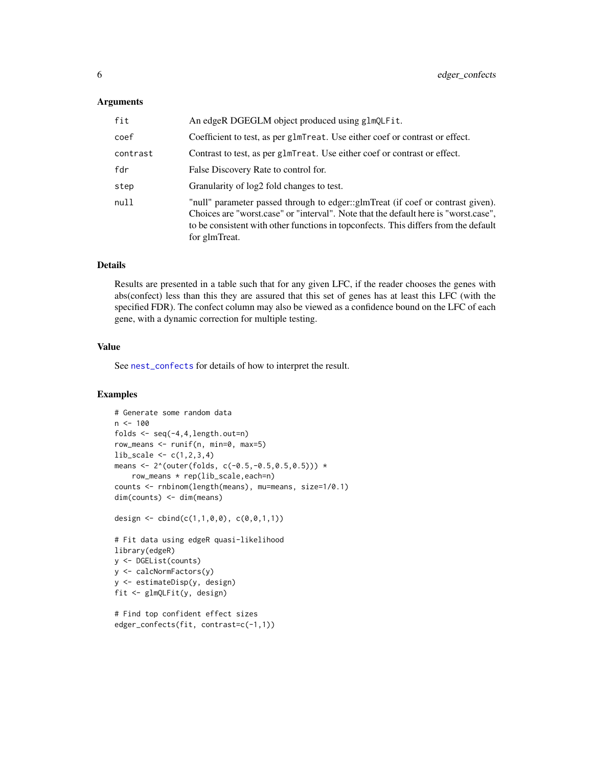#### <span id="page-5-0"></span>**Arguments**

| fit      | An edgeR DGEGLM object produced using glmQLFit.                                                                                                                                                                                                                                |
|----------|--------------------------------------------------------------------------------------------------------------------------------------------------------------------------------------------------------------------------------------------------------------------------------|
| coef     | Coefficient to test, as per glmTreat. Use either coef or contrast or effect.                                                                                                                                                                                                   |
| contrast | Contrast to test, as per glmTreat. Use either coef or contrast or effect.                                                                                                                                                                                                      |
| fdr      | False Discovery Rate to control for.                                                                                                                                                                                                                                           |
| step     | Granularity of log2 fold changes to test.                                                                                                                                                                                                                                      |
| null     | "null" parameter passed through to edger::glmTreat (if coef or contrast given).<br>Choices are "worst.case" or "interval". Note that the default here is "worst.case",<br>to be consistent with other functions in topconfects. This differs from the default<br>for glmTreat. |

# Details

Results are presented in a table such that for any given LFC, if the reader chooses the genes with abs(confect) less than this they are assured that this set of genes has at least this LFC (with the specified FDR). The confect column may also be viewed as a confidence bound on the LFC of each gene, with a dynamic correction for multiple testing.

#### Value

See [nest\\_confects](#page-7-1) for details of how to interpret the result.

```
# Generate some random data
n < -100folds \leq seq(-4,4, length.out=n)
row_means \le runif(n, min=0, max=5)
lib\_scale \leftarrow c(1, 2, 3, 4)means <- 2^(outer(folds, c(-0.5,-0.5,0.5,0.5))) *
    row_means * rep(lib_scale,each=n)
counts <- rnbinom(length(means), mu=means, size=1/0.1)
dim(counts) <- dim(means)
design <- cbind(c(1,1,0,0), c(0,0,1,1))
# Fit data using edgeR quasi-likelihood
library(edgeR)
y <- DGEList(counts)
y <- calcNormFactors(y)
y <- estimateDisp(y, design)
fit <- glmQLFit(y, design)
# Find top confident effect sizes
edger_confects(fit, contrast=c(-1,1))
```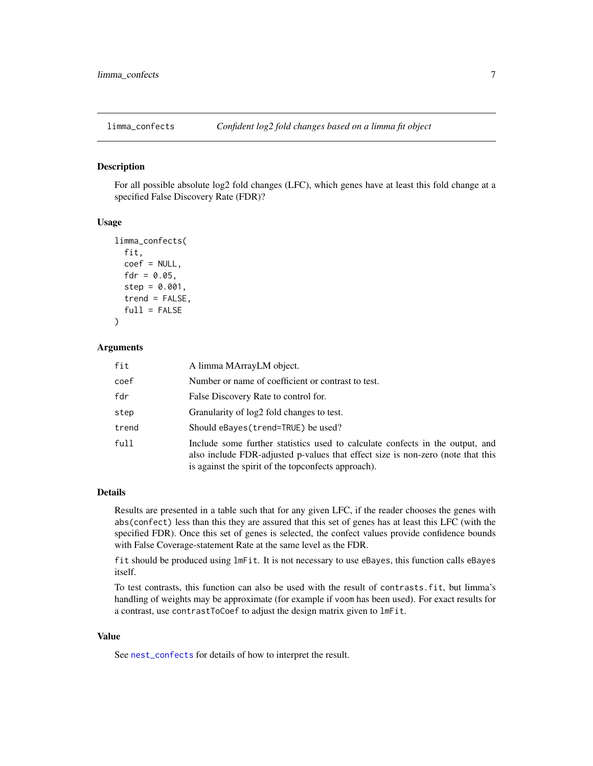<span id="page-6-0"></span>

#### Description

For all possible absolute log2 fold changes (LFC), which genes have at least this fold change at a specified False Discovery Rate (FDR)?

# Usage

```
limma_confects(
  fit,
  coef = NULL,
  fdr = 0.05,
  step = 0.001,
  trend = FALSE,
  full = FALSE)
```
# Arguments

| fit   | A limma MArrayLM object.                                                                                                                                                                                                |
|-------|-------------------------------------------------------------------------------------------------------------------------------------------------------------------------------------------------------------------------|
| coef  | Number or name of coefficient or contrast to test.                                                                                                                                                                      |
| fdr   | False Discovery Rate to control for.                                                                                                                                                                                    |
| step  | Granularity of log2 fold changes to test.                                                                                                                                                                               |
| trend | Should eBayes (trend=TRUE) be used?                                                                                                                                                                                     |
| full  | Include some further statistics used to calculate confects in the output, and<br>also include FDR-adjusted p-values that effect size is non-zero (note that this<br>is against the spirit of the topconfects approach). |

#### Details

Results are presented in a table such that for any given LFC, if the reader chooses the genes with abs(confect) less than this they are assured that this set of genes has at least this LFC (with the specified FDR). Once this set of genes is selected, the confect values provide confidence bounds with False Coverage-statement Rate at the same level as the FDR.

fit should be produced using lmFit. It is not necessary to use eBayes, this function calls eBayes itself.

To test contrasts, this function can also be used with the result of contrasts.fit, but limma's handling of weights may be approximate (for example if voom has been used). For exact results for a contrast, use contrastToCoef to adjust the design matrix given to lmFit.

#### Value

See [nest\\_confects](#page-7-1) for details of how to interpret the result.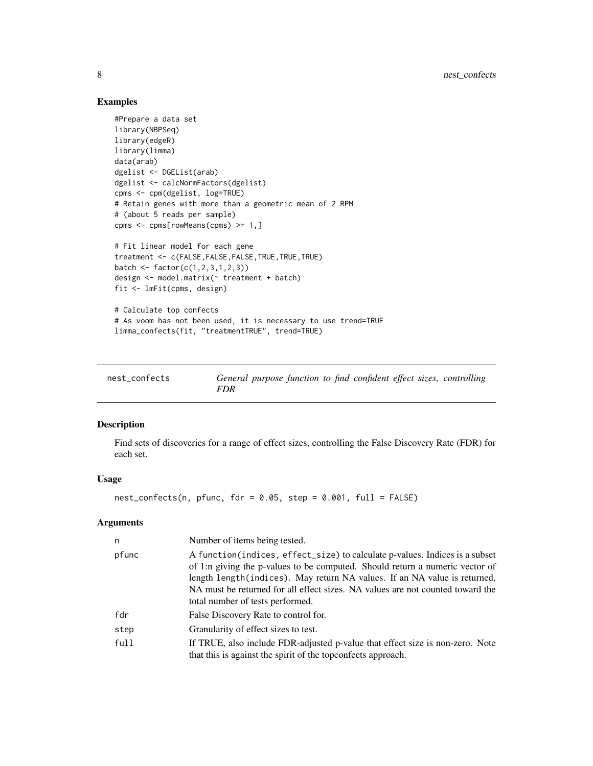# Examples

```
#Prepare a data set
library(NBPSeq)
library(edgeR)
library(limma)
data(arab)
dgelist <- DGEList(arab)
dgelist <- calcNormFactors(dgelist)
cpms <- cpm(dgelist, log=TRUE)
# Retain genes with more than a geometric mean of 2 RPM
# (about 5 reads per sample)
cpms <- cpms[rowMeans(cpms) >= 1,]
# Fit linear model for each gene
treatment <- c(FALSE,FALSE,FALSE,TRUE,TRUE,TRUE)
batch <- factor(c(1, 2, 3, 1, 2, 3))design <- model.matrix(~ treatment + batch)
fit <- lmFit(cpms, design)
# Calculate top confects
# As voom has not been used, it is necessary to use trend=TRUE
limma_confects(fit, "treatmentTRUE", trend=TRUE)
```
<span id="page-7-1"></span>

| nest_confects | General purpose function to find confident effect sizes, controlling |  |  |
|---------------|----------------------------------------------------------------------|--|--|
|               | FDR                                                                  |  |  |

# Description

Find sets of discoveries for a range of effect sizes, controlling the False Discovery Rate (FDR) for each set.

# Usage

```
nest\_confects(n, pfunc, fdr = 0.05, step = 0.001, full = FALSE)
```
#### Arguments

| n     | Number of items being tested.                                                                                                                                                                                                                                                                                                                                   |
|-------|-----------------------------------------------------------------------------------------------------------------------------------------------------------------------------------------------------------------------------------------------------------------------------------------------------------------------------------------------------------------|
| pfunc | A function(indices, effect_size) to calculate p-values. Indices is a subset<br>of 1:n giving the p-values to be computed. Should return a numeric vector of<br>length length (indices). May return NA values. If an NA value is returned,<br>NA must be returned for all effect sizes. NA values are not counted toward the<br>total number of tests performed. |
| fdr   | False Discovery Rate to control for.                                                                                                                                                                                                                                                                                                                            |
| step  | Granularity of effect sizes to test.                                                                                                                                                                                                                                                                                                                            |
| full  | If TRUE, also include FDR-adjusted p-value that effect size is non-zero. Note<br>that this is against the spirit of the topconfects approach.                                                                                                                                                                                                                   |

<span id="page-7-0"></span>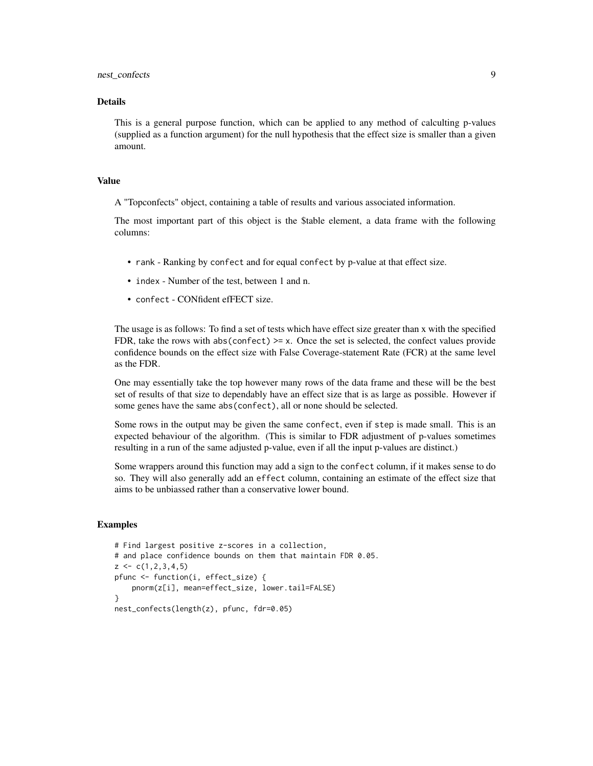# nest\_confects 9

# Details

This is a general purpose function, which can be applied to any method of calculting p-values (supplied as a function argument) for the null hypothesis that the effect size is smaller than a given amount.

#### Value

A "Topconfects" object, containing a table of results and various associated information.

The most important part of this object is the \$table element, a data frame with the following columns:

- rank Ranking by confect and for equal confect by p-value at that effect size.
- index Number of the test, between 1 and n.
- confect CONfident efFECT size.

The usage is as follows: To find a set of tests which have effect size greater than x with the specified FDR, take the rows with abs(confect)  $>= x$ . Once the set is selected, the confect values provide confidence bounds on the effect size with False Coverage-statement Rate (FCR) at the same level as the FDR.

One may essentially take the top however many rows of the data frame and these will be the best set of results of that size to dependably have an effect size that is as large as possible. However if some genes have the same abs(confect), all or none should be selected.

Some rows in the output may be given the same confect, even if step is made small. This is an expected behaviour of the algorithm. (This is similar to FDR adjustment of p-values sometimes resulting in a run of the same adjusted p-value, even if all the input p-values are distinct.)

Some wrappers around this function may add a sign to the confect column, if it makes sense to do so. They will also generally add an effect column, containing an estimate of the effect size that aims to be unbiassed rather than a conservative lower bound.

```
# Find largest positive z-scores in a collection,
# and place confidence bounds on them that maintain FDR 0.05.
z \leq c(1, 2, 3, 4, 5)pfunc <- function(i, effect_size) {
    pnorm(z[i], mean=effect_size, lower.tail=FALSE)
}
nest_confects(length(z), pfunc, fdr=0.05)
```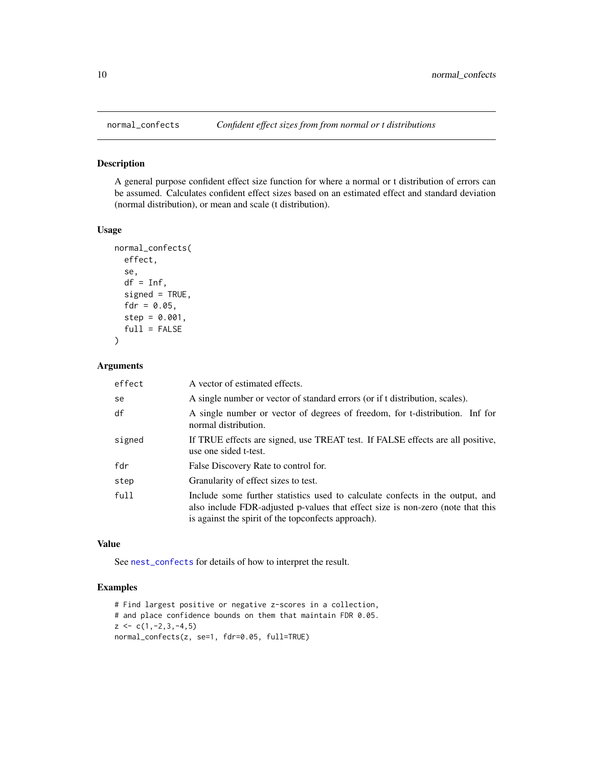<span id="page-9-0"></span>

#### Description

A general purpose confident effect size function for where a normal or t distribution of errors can be assumed. Calculates confident effect sizes based on an estimated effect and standard deviation (normal distribution), or mean and scale (t distribution).

### Usage

```
normal_confects(
  effect,
  se,
  df = Inf,signed = TRUE,
  fdr = 0.05,
  step = 0.001,
  full = FALSE)
```
# Arguments

| effect | A vector of estimated effects.                                                                                                                                                                                          |
|--------|-------------------------------------------------------------------------------------------------------------------------------------------------------------------------------------------------------------------------|
| se     | A single number or vector of standard errors (or if t distribution, scales).                                                                                                                                            |
| df     | A single number or vector of degrees of freedom, for t-distribution. Inf for<br>normal distribution.                                                                                                                    |
| signed | If TRUE effects are signed, use TREAT test. If FALSE effects are all positive,<br>use one sided t-test.                                                                                                                 |
| fdr    | False Discovery Rate to control for.                                                                                                                                                                                    |
| step   | Granularity of effect sizes to test.                                                                                                                                                                                    |
| full   | Include some further statistics used to calculate confects in the output, and<br>also include FDR-adjusted p-values that effect size is non-zero (note that this<br>is against the spirit of the topconfects approach). |

### Value

See [nest\\_confects](#page-7-1) for details of how to interpret the result.

```
# Find largest positive or negative z-scores in a collection,
# and place confidence bounds on them that maintain FDR 0.05.
z \leftarrow c(1, -2, 3, -4, 5)normal_confects(z, se=1, fdr=0.05, full=TRUE)
```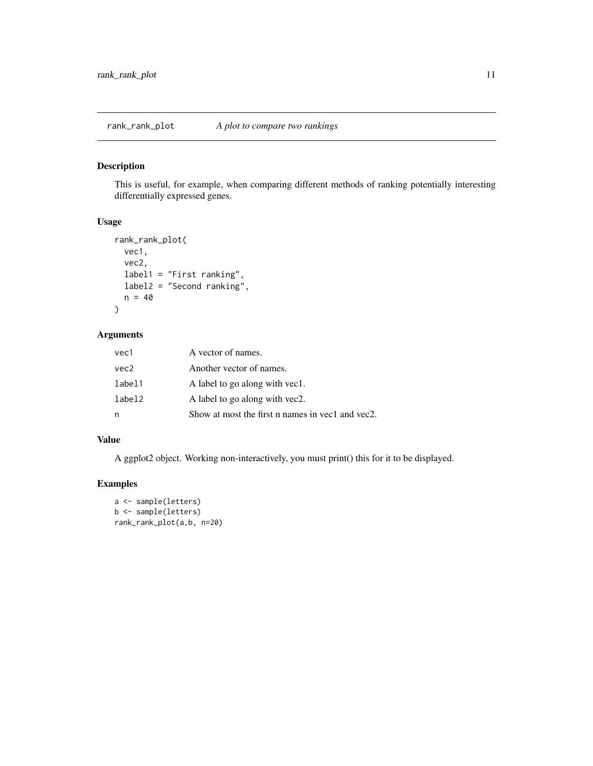# <span id="page-10-0"></span>Description

This is useful, for example, when comparing different methods of ranking potentially interesting differentially expressed genes.

#### Usage

```
rank_rank_plot(
  vec1,
  vec2,
  label1 = "First ranking",
  label2 = "Second ranking",
  n = 40\mathcal{L}
```
# Arguments

| vec1   | A vector of names.                               |
|--------|--------------------------------------------------|
| vec2   | Another vector of names.                         |
| label1 | A label to go along with yec1.                   |
| label2 | A label to go along with yec2.                   |
| n      | Show at most the first n names in vec1 and vec2. |

# Value

A ggplot2 object. Working non-interactively, you must print() this for it to be displayed.

```
a <- sample(letters)
b <- sample(letters)
rank_rank_plot(a,b, n=20)
```